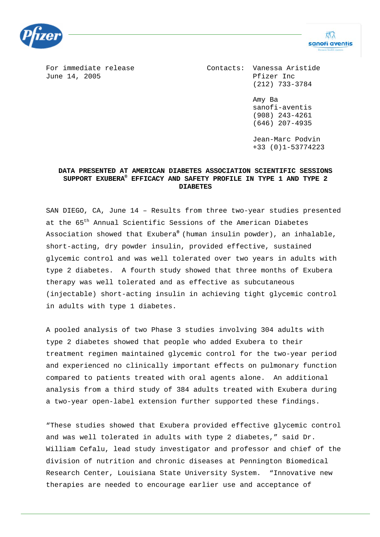

For immediate release The Contacts: Vanessa Aristide June 14, 2005 **Primary Primary Primary Primary Primary Primary Primary Primary Primary Primary Primary Primary Primary Primary Primary Primary Primary Primary Primary Primary Primary Primary Primary Primary Primary Primary** (212) 733-3784

> Amy Ba sanofi-aventis (908) 243-4261 (646) 207-4935

XΩ sanofi aventis

Jean-Marc Podvin +33 (0)1-53774223

## **DATA PRESENTED AT AMERICAN DIABETES ASSOCIATION SCIENTIFIC SESSIONS SUPPORT EXUBERA® EFFICACY AND SAFETY PROFILE IN TYPE 1 AND TYPE 2 DIABETES**

SAN DIEGO, CA, June 14 – Results from three two-year studies presented at the 65<sup>th</sup> Annual Scientific Sessions of the American Diabetes Association showed that Exubera**®** (human insulin powder), an inhalable, short-acting, dry powder insulin, provided effective, sustained glycemic control and was well tolerated over two years in adults with type 2 diabetes. A fourth study showed that three months of Exubera therapy was well tolerated and as effective as subcutaneous (injectable) short-acting insulin in achieving tight glycemic control in adults with type 1 diabetes.

A pooled analysis of two Phase 3 studies involving 304 adults with type 2 diabetes showed that people who added Exubera to their treatment regimen maintained glycemic control for the two-year period and experienced no clinically important effects on pulmonary function compared to patients treated with oral agents alone. An additional analysis from a third study of 384 adults treated with Exubera during a two-year open-label extension further supported these findings.

"These studies showed that Exubera provided effective glycemic control and was well tolerated in adults with type 2 diabetes," said Dr. William Cefalu, lead study investigator and professor and chief of the division of nutrition and chronic diseases at Pennington Biomedical Research Center, Louisiana State University System. "Innovative new therapies are needed to encourage earlier use and acceptance of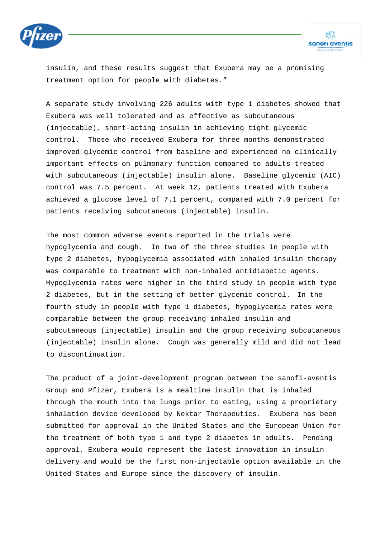

insulin, and these results suggest that Exubera may be a promising treatment option for people with diabetes."

A separate study involving 226 adults with type 1 diabetes showed that Exubera was well tolerated and as effective as subcutaneous (injectable), short-acting insulin in achieving tight glycemic control. Those who received Exubera for three months demonstrated improved glycemic control from baseline and experienced no clinically important effects on pulmonary function compared to adults treated with subcutaneous (injectable) insulin alone. Baseline glycemic (A1C) control was 7.5 percent. At week 12, patients treated with Exubera achieved a glucose level of 7.1 percent, compared with 7.0 percent for patients receiving subcutaneous (injectable) insulin.

The most common adverse events reported in the trials were hypoglycemia and cough. In two of the three studies in people with type 2 diabetes, hypoglycemia associated with inhaled insulin therapy was comparable to treatment with non-inhaled antidiabetic agents. Hypoglycemia rates were higher in the third study in people with type 2 diabetes, but in the setting of better glycemic control. In the fourth study in people with type 1 diabetes, hypoglycemia rates were comparable between the group receiving inhaled insulin and subcutaneous (injectable) insulin and the group receiving subcutaneous (injectable) insulin alone. Cough was generally mild and did not lead to discontinuation.

The product of a joint-development program between the sanofi-aventis Group and Pfizer, Exubera is a mealtime insulin that is inhaled through the mouth into the lungs prior to eating, using a proprietary inhalation device developed by Nektar Therapeutics. Exubera has been submitted for approval in the United States and the European Union for the treatment of both type 1 and type 2 diabetes in adults. Pending approval, Exubera would represent the latest innovation in insulin delivery and would be the first non-injectable option available in the United States and Europe since the discovery of insulin.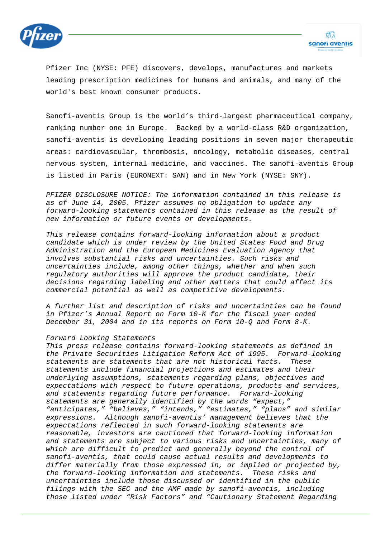

Pfizer Inc (NYSE: PFE) discovers, develops, manufactures and markets leading prescription medicines for humans and animals, and many of the world's best known consumer products.

Sanofi-aventis Group is the world's third-largest pharmaceutical company, ranking number one in Europe. Backed by a world-class R&D organization, sanofi-aventis is developing leading positions in seven major therapeutic areas: cardiovascular, thrombosis, oncology, metabolic diseases, central nervous system, internal medicine, and vaccines. The sanofi-aventis Group is listed in Paris (EURONEXT: SAN) and in New York (NYSE: SNY).

*PFIZER DISCLOSURE NOTICE: The information contained in this release is as of June 14, 2005. Pfizer assumes no obligation to update any forward-looking statements contained in this release as the result of new information or future events or developments.* 

*This release contains forward-looking information about a product candidate which is under review by the United States Food and Drug Administration and the European Medicines Evaluation Agency that involves substantial risks and uncertainties. Such risks and uncertainties include, among other things, whether and when such regulatory authorities will approve the product candidate, their decisions regarding labeling and other matters that could affect its commercial potential as well as competitive developments.* 

*A further list and description of risks and uncertainties can be found in Pfizer's Annual Report on Form 10-K for the fiscal year ended December 31, 2004 and in its reports on Form 10-Q and Form 8-K.* 

## *Forward Looking Statements*

*This press release contains forward-looking statements as defined in the Private Securities Litigation Reform Act of 1995. Forward-looking statements are statements that are not historical facts. These statements include financial projections and estimates and their underlying assumptions, statements regarding plans, objectives and expectations with respect to future operations, products and services, and statements regarding future performance. Forward-looking statements are generally identified by the words "expect," "anticipates," "believes," "intends," "estimates," "plans" and similar expressions. Although sanofi-aventis' management believes that the expectations reflected in such forward-looking statements are reasonable, investors are cautioned that forward-looking information and statements are subject to various risks and uncertainties, many of which are difficult to predict and generally beyond the control of sanofi-aventis, that could cause actual results and developments to differ materially from those expressed in, or implied or projected by, the forward-looking information and statements. These risks and uncertainties include those discussed or identified in the public filings with the SEC and the AMF made by sanofi-aventis, including those listed under "Risk Factors" and "Cautionary Statement Regarding*